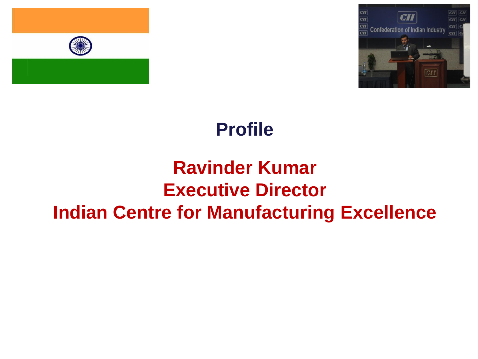



#### **Profile**

#### **Ravinder Kumar Executive Director Indian Centre for Manufacturing Excellence**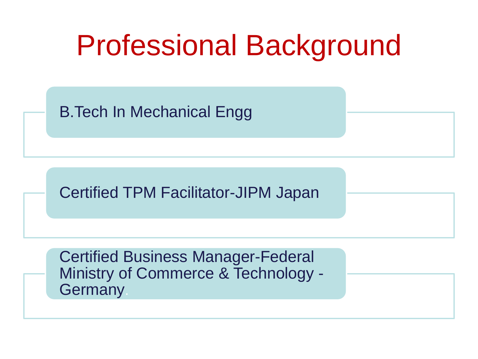## Professional Background

B.Tech In Mechanical Engg

Certified TPM Facilitator-JIPM Japan

Certified Business Manager-Federal Ministry of Commerce & Technology - **Germany**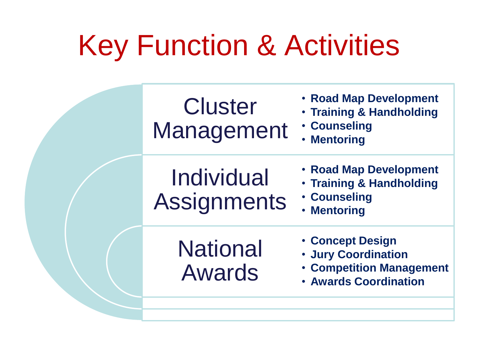# Key Function & Activities

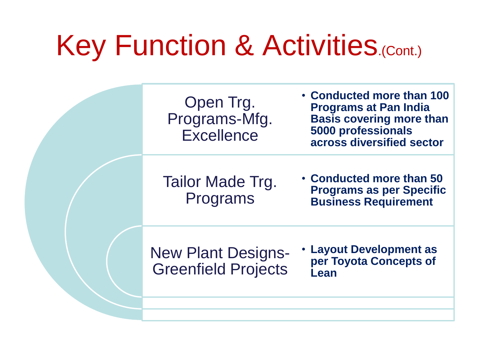## Key Function & Activities.(Cont.)

Open Trg. Programs-Mfg. **Excellence** 

• **Conducted more than 100 Programs at Pan India Basis covering more than 5000 professionals across diversified sector**

Tailor Made Trg. Programs

• **Conducted more than 50 Programs as per Specific Business Requirement**

New Plant Designs-Greenfield Projects

• **Layout Development as per Toyota Concepts of Lean**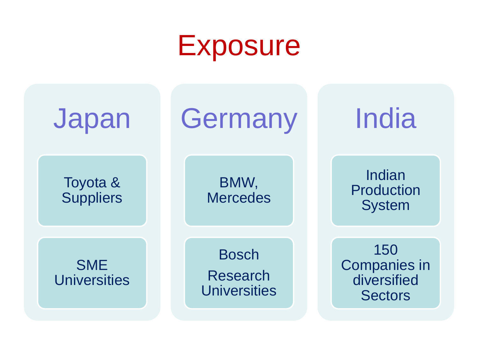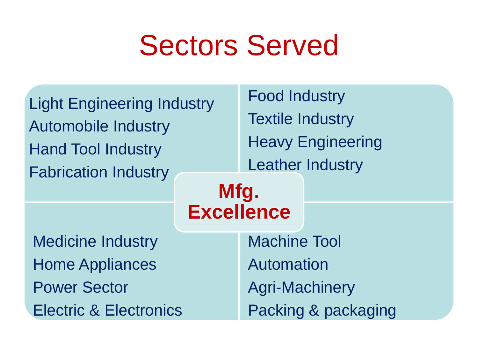### Sectors Served

Light Engineering Industry Automobile Industry Hand Tool Industry Fabrication Industry Food Industry Textile Industry Heavy Engineering Leather Industry Medicine Industry Home Appliances Power Sector Electric & Electronics Machine Tool Automation Agri-Machinery Packing & packaging **Mfg. Excellence**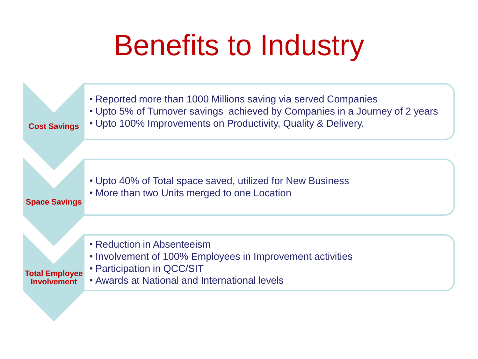## Benefits to Industry